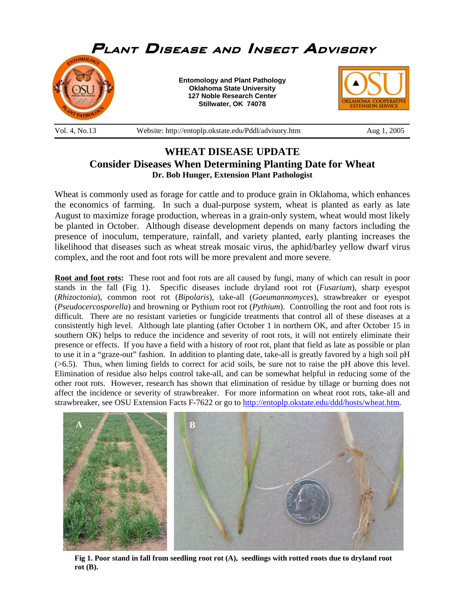

## **WHEAT DISEASE UPDATE Consider Diseases When Determining Planting Date for Wheat Dr. Bob Hunger, Extension Plant Pathologist**

Wheat is commonly used as forage for cattle and to produce grain in Oklahoma, which enhances the economics of farming. In such a dual-purpose system, wheat is planted as early as late August to maximize forage production, whereas in a grain-only system, wheat would most likely be planted in October. Although disease development depends on many factors including the presence of inoculum, temperature, rainfall, and variety planted, early planting increases the likelihood that diseases such as wheat streak mosaic virus, the aphid/barley yellow dwarf virus complex, and the root and foot rots will be more prevalent and more severe.

**Root and foot rots:** These root and foot rots are all caused by fungi, many of which can result in poor stands in the fall (Fig 1). Specific diseases include dryland root rot (*Fusarium*), sharp eyespot (*Rhizoctonia*), common root rot (*Bipolaris*), take-all (*Gaeumannomyces*), strawbreaker or eyespot (*Pseudocercosporella*) and browning or Pythium root rot (*Pythium*). Controlling the root and foot rots is difficult. There are no resistant varieties or fungicide treatments that control all of these diseases at a consistently high level. Although late planting (after October 1 in northern OK, and after October 15 in southern OK) helps to reduce the incidence and severity of root rots, it will not entirely eliminate their presence or effects. If you have a field with a history of root rot, plant that field as late as possible or plan to use it in a "graze-out" fashion. In addition to planting date, take-all is greatly favored by a high soil pH (>6.5). Thus, when liming fields to correct for acid soils, be sure not to raise the pH above this level. Elimination of residue also helps control take-all, and can be somewhat helpful in reducing some of the other root rots. However, research has shown that elimination of residue by tillage or burning does not affect the incidence or severity of strawbreaker. For more information on wheat root rots, take-all and strawbreaker, see OSU Extension Facts F-7622 or go to http://entoplp.okstate.edu/ddd/hosts/wheat.htm.



**Fig 1. Poor stand in fall from seedling root rot (A), seedlings with rotted roots due to dryland root rot (B).**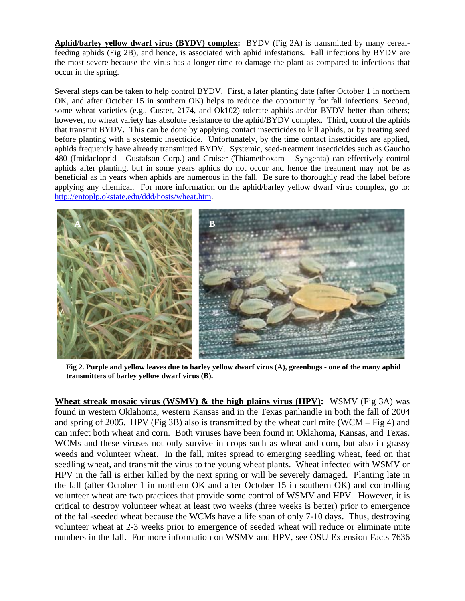**Aphid/barley yellow dwarf virus (BYDV) complex:** BYDV (Fig 2A) is transmitted by many cerealfeeding aphids (Fig 2B), and hence, is associated with aphid infestations. Fall infections by BYDV are the most severe because the virus has a longer time to damage the plant as compared to infections that occur in the spring.

Several steps can be taken to help control BYDV. First, a later planting date (after October 1 in northern OK, and after October 15 in southern OK) helps to reduce the opportunity for fall infections. Second, some wheat varieties (e.g., Custer, 2174, and Ok102) tolerate aphids and/or BYDV better than others; however, no wheat variety has absolute resistance to the aphid/BYDV complex. Third, control the aphids that transmit BYDV. This can be done by applying contact insecticides to kill aphids, or by treating seed before planting with a systemic insecticide. Unfortunately, by the time contact insecticides are applied, aphids frequently have already transmitted BYDV. Systemic, seed-treatment insecticides such as Gaucho 480 (Imidacloprid - Gustafson Corp.) and Cruiser (Thiamethoxam – Syngenta) can effectively control aphids after planting, but in some years aphids do not occur and hence the treatment may not be as beneficial as in years when aphids are numerous in the fall. Be sure to thoroughly read the label before applying any chemical. For more information on the aphid/barley yellow dwarf virus complex, go to: http://entoplp.okstate.edu/ddd/hosts/wheat.htm.



**Fig 2. Purple and yellow leaves due to barley yellow dwarf virus (A), greenbugs - one of the many aphid transmitters of barley yellow dwarf virus (B).** 

**Wheat streak mosaic virus (WSMV) & the high plains virus (HPV):** WSMV (Fig 3A) was found in western Oklahoma, western Kansas and in the Texas panhandle in both the fall of 2004 and spring of 2005. HPV (Fig 3B) also is transmitted by the wheat curl mite (WCM – Fig 4) and can infect both wheat and corn. Both viruses have been found in Oklahoma, Kansas, and Texas. WCMs and these viruses not only survive in crops such as wheat and corn, but also in grassy weeds and volunteer wheat. In the fall, mites spread to emerging seedling wheat, feed on that seedling wheat, and transmit the virus to the young wheat plants. Wheat infected with WSMV or HPV in the fall is either killed by the next spring or will be severely damaged. Planting late in the fall (after October 1 in northern OK and after October 15 in southern OK) and controlling volunteer wheat are two practices that provide some control of WSMV and HPV. However, it is critical to destroy volunteer wheat at least two weeks (three weeks is better) prior to emergence of the fall-seeded wheat because the WCMs have a life span of only 7-10 days. Thus, destroying volunteer wheat at 2-3 weeks prior to emergence of seeded wheat will reduce or eliminate mite numbers in the fall. For more information on WSMV and HPV, see OSU Extension Facts 7636